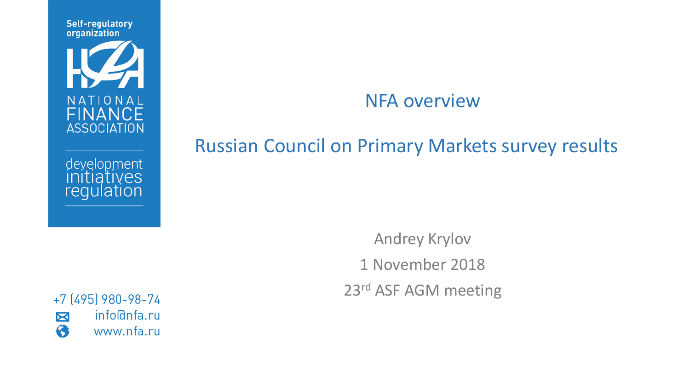**Self-regulatory** organization



development<br>initiatives<br>regulation

### NFA overview

#### Russian Council on Primary Markets survey results

Andrey Krylov 1 November 2018 23rd ASF AGM meeting

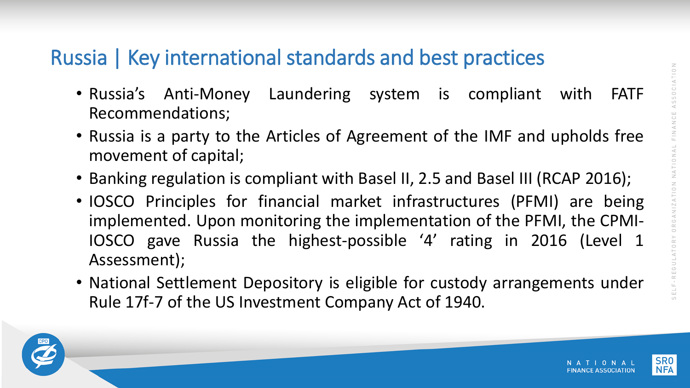## Russia | Key international standards and best practices

- Russia's Anti-Money Laundering system is compliant with FATF Recommendations;
- Russia is a party to the Articles of Agreement of the IMF and upholds free movement of capital;
- Banking regulation is compliant with Basel II, 2.5 and Basel III (RCAP 2016);
- IOSCO Principles for financial market infrastructures (PFMI) are being implemented. Upon monitoring the implementation of the PFMI, the CPMI-IOSCO gave Russia the highest-possible '4' rating in 2016 (Level 1 Assessment);
- National Settlement Depository is eligible for custody arrangements under Rule 17f-7 of the US Investment Company Act of 1940.



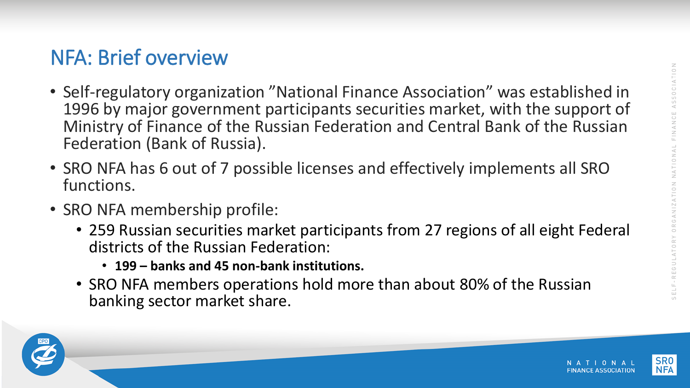## NFA: Brief overview

- Self-regulatory organization "National Finance Association" was established in 1996 by major government participants securities market, with the support of Ministry of Finance of the Russian Federation and Central Bank of the Russian Federation (Bank of Russia).
- SRO NFA has 6 out of 7 possible licenses and effectively implements all SRO functions.
- SRO NFA membership profile:
	- 259 Russian securities market participants from 27 regions of all eight Federal districts of the Russian Federation:
		- **199 – banks and 45 non-bank institutions.**
	- SRO NFA members operations hold more than about 80% of the Russian banking sector market share.



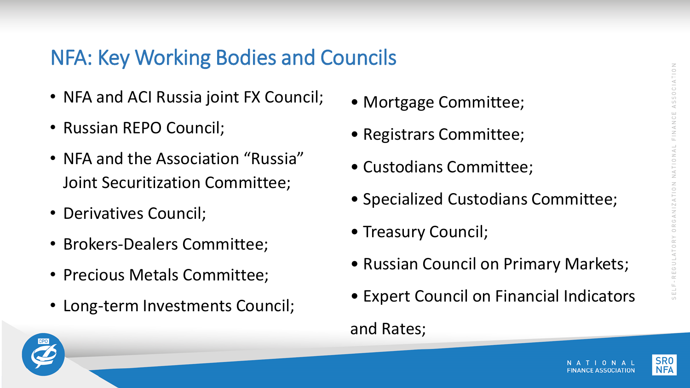# NFA: Key Working Bodies and Councils

- NFA and ACI Russia joint FX Council;
- Russian REPO Council;
- NFA and the Association "Russia" Joint Securitization Committee;
- Derivatives Council;
- Brokers-Dealers Committee;
- Precious Metals Committee;
- Long-term Investments Council;
- Mortgage Committee;
- Registrars Committee;
- Custodians Committee;
- Specialized Custodians Committee;
- Treasury Council;
- Russian Council on Primary Markets;
- Expert Council on Financial Indicators

### and Rates;



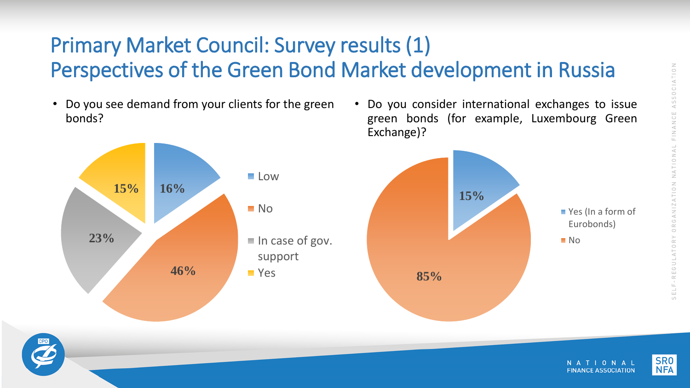## Primary Market Council: Survey results (1) Perspectives of the Green Bond Market development in Russia

• Do you see demand from your clients for the green bonds?



• Do you consider international exchanges to issue green bonds (for example, Luxembourg Green Exchange)?





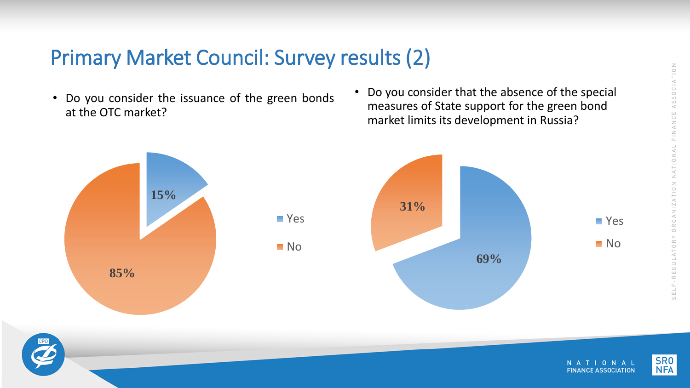## Primary Market Council: Survey results (2)

- Do you consider the issuance of the green bonds at the OTC market?
- Do you consider that the absence of the special measures of State support for the green bond market limits its development in Russia?





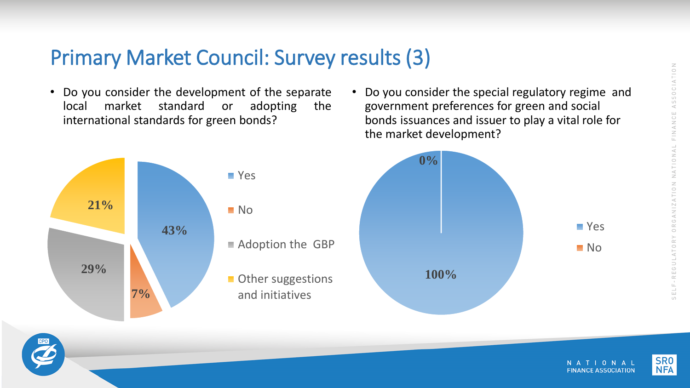### Primary Market Council: Survey results (3)

- Do you consider the development of the separate local market standard or adopting the international standards for green bonds?
- Do you consider the special regulatory regime and government preferences for green and social bonds issuances and issuer to play a vital role for the market development?





■ Yes

No